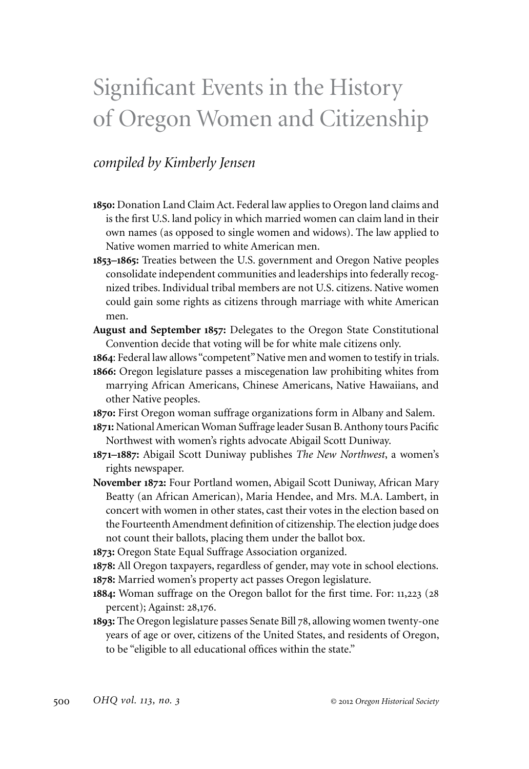## Significant Events in the History of Oregon Women and Citizenship

## *compiled by Kimberly Jensen*

- **1850:** Donation Land Claim Act. Federal law applies to Oregon land claims and is the first U.S. land policy in which married women can claim land in their own names (as opposed to single women and widows). The law applied to Native women married to white American men.
- **1853–1865:** Treaties between the U.S. government and Oregon Native peoples consolidate independent communities and leaderships into federally recognized tribes. Individual tribal members are not U.S. citizens. Native women could gain some rights as citizens through marriage with white American men.
- **August and September 1857:** Delegates to the Oregon State Constitutional Convention decide that voting will be for white male citizens only.
- **1864**: Federal law allows "competent" Native men and women to testify in trials.
- **1866:** Oregon legislature passes a miscegenation law prohibiting whites from marrying African Americans, Chinese Americans, Native Hawaiians, and other Native peoples.
- **1870:** First Oregon woman suffrage organizations form in Albany and Salem.
- **1871:** National American Woman Suffrage leader Susan B. Anthony tours Pacific Northwest with women's rights advocate Abigail Scott Duniway.
- **1871–1887:** Abigail Scott Duniway publishes *The New Northwest*, a women's rights newspaper.
- **November 1872:** Four Portland women, Abigail Scott Duniway, African Mary Beatty (an African American), Maria Hendee, and Mrs. M.A. Lambert, in concert with women in other states, cast their votes in the election based on the Fourteenth Amendment definition of citizenship. The election judge does not count their ballots, placing them under the ballot box.
- **1873:** Oregon State Equal Suffrage Association organized.
- **1878:** All Oregon taxpayers, regardless of gender, may vote in school elections. **1878:** Married women's property act passes Oregon legislature.
- **1884:** Woman suffrage on the Oregon ballot for the first time. For: 11,223 (28 percent); Against: 28,176.
- **1893:** The Oregon legislature passes Senate Bill 78, allowing women twenty-one years of age or over, citizens of the United States, and residents of Oregon, to be "eligible to all educational offices within the state."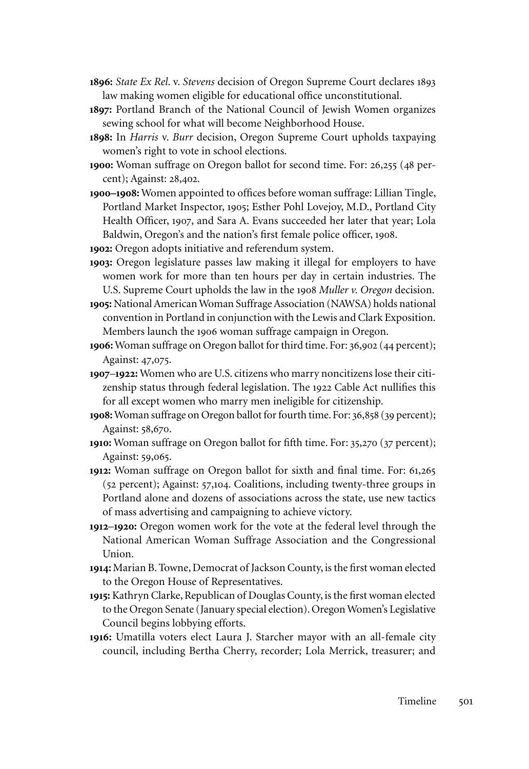- **1896:** *State Ex Rel*. v. *Stevens* decision of Oregon Supreme Court declares 1893 law making women eligible for educational office unconstitutional.
- **1897:** Portland Branch of the National Council of Jewish Women organizes sewing school for what will become Neighborhood House.
- **1898:** In *Harris* v. *Burr* decision, Oregon Supreme Court upholds taxpaying women's right to vote in school elections.
- **1900:** Woman suffrage on Oregon ballot for second time. For: 26,255 (48 percent); Against: 28,402.
- **1900–1908:** Women appointed to offices before woman suffrage: Lillian Tingle, Portland Market Inspector, 1905; Esther Pohl Lovejoy, M.D., Portland City Health Officer, 1907, and Sara A. Evans succeeded her later that year; Lola Baldwin, Oregon's and the nation's first female police officer, 1908.
- **1902:** Oregon adopts initiative and referendum system.
- **1903:** Oregon legislature passes law making it illegal for employers to have women work for more than ten hours per day in certain industries. The U.S. Supreme Court upholds the law in the 1908 *Muller v. Oregon* decision.
- **1905:** National American Woman Suffrage Association (NAWSA) holds national convention in Portland in conjunction with the Lewis and Clark Exposition. Members launch the 1906 woman suffrage campaign in Oregon.
- **1906:** Woman suffrage on Oregon ballot for third time. For: 36,902 (44 percent); Against: 47,075.
- **1907**–**1922:** Women who are U.S. citizens who marry noncitizens lose their citizenship status through federal legislation. The 1922 Cable Act nullifies this for all except women who marry men ineligible for citizenship.
- **1908:** Woman suffrage on Oregon ballot for fourth time. For: 36,858 (39 percent); Against: 58,670.
- **1910:** Woman suffrage on Oregon ballot for fifth time. For: 35,270 (37 percent); Against: 59,065.
- **1912:** Woman suffrage on Oregon ballot for sixth and final time. For: 61,265 (52 percent); Against: 57,104. Coalitions, including twenty-three groups in Portland alone and dozens of associations across the state, use new tactics of mass advertising and campaigning to achieve victory.
- **1912**–**1920:** Oregon women work for the vote at the federal level through the National American Woman Suffrage Association and the Congressional Union.
- **1914:** Marian B. Towne, Democrat of Jackson County, is the first woman elected to the Oregon House of Representatives.
- **1915:** Kathryn Clarke, Republican of Douglas County, is the first woman elected to the Oregon Senate (January special election). Oregon Women's Legislative Council begins lobbying efforts.
- **1916:** Umatilla voters elect Laura J. Starcher mayor with an all-female city council, including Bertha Cherry, recorder; Lola Merrick, treasurer; and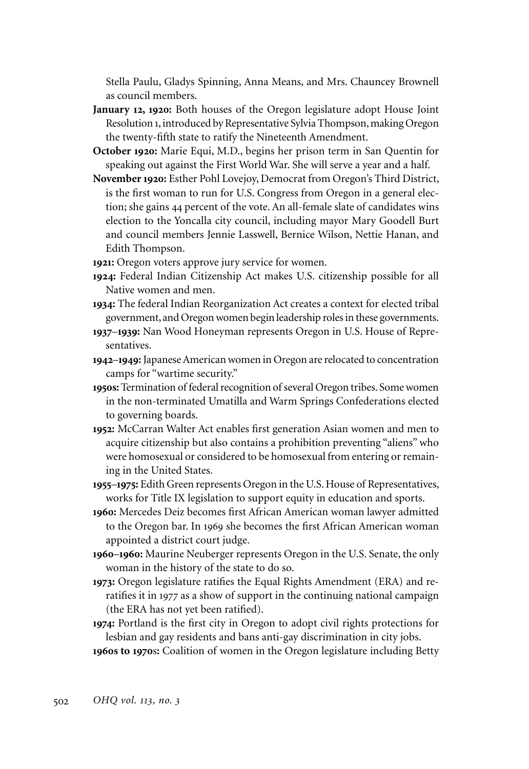Stella Paulu, Gladys Spinning, Anna Means, and Mrs. Chauncey Brownell as council members.

- **January 12, 1920:** Both houses of the Oregon legislature adopt House Joint Resolution 1, introduced by Representative Sylvia Thompson, making Oregon the twenty-fifth state to ratify the Nineteenth Amendment.
- **October 1920:** Marie Equi, M.D., begins her prison term in San Quentin for speaking out against the First World War. She will serve a year and a half.
- **November1920:** Esther Pohl Lovejoy, Democrat from Oregon's Third District, is the first woman to run for U.S. Congress from Oregon in a general election; she gains 44 percent of the vote. An all-female slate of candidates wins election to the Yoncalla city council, including mayor Mary Goodell Burt and council members Jennie Lasswell, Bernice Wilson, Nettie Hanan, and Edith Thompson.
- **1921:** Oregon voters approve jury service for women.
- **1924:** Federal Indian Citizenship Act makes U.S. citizenship possible for all Native women and men.
- **1934:** The federal Indian Reorganization Act creates a context for elected tribal government, and Oregon women begin leadership roles in these governments.
- **1937**–**1939:** Nan Wood Honeyman represents Oregon in U.S. House of Representatives.
- **1942**–**1949:** Japanese American women in Oregon are relocated to concentration camps for "wartime security."
- **1950s:** Termination of federal recognition of several Oregon tribes. Some women in the non-terminated Umatilla and Warm Springs Confederations elected to governing boards.
- **1952:** McCarran Walter Act enables first generation Asian women and men to acquire citizenship but also contains a prohibition preventing "aliens" who were homosexual or considered to be homosexual from entering or remaining in the United States.
- **1955**–**1975:** Edith Green represents Oregon in the U.S. House of Representatives, works for Title IX legislation to support equity in education and sports.
- **1960:** Mercedes Deiz becomes first African American woman lawyer admitted to the Oregon bar. In 1969 she becomes the first African American woman appointed a district court judge.
- **1960**–**1960:** Maurine Neuberger represents Oregon in the U.S. Senate, the only woman in the history of the state to do so.
- **1973:** Oregon legislature ratifies the Equal Rights Amendment (ERA) and reratifies it in 1977 as a show of support in the continuing national campaign (the ERA has not yet been ratified).
- **1974:** Portland is the first city in Oregon to adopt civil rights protections for lesbian and gay residents and bans anti-gay discrimination in city jobs. **1960s to 1970**s**:** Coalition of women in the Oregon legislature including Betty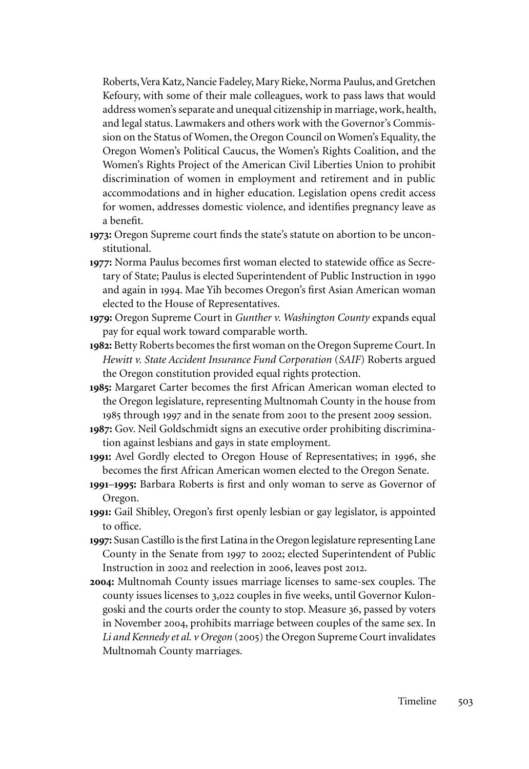Roberts, Vera Katz, Nancie Fadeley, Mary Rieke, Norma Paulus, and Gretchen Kefoury, with some of their male colleagues, work to pass laws that would address women's separate and unequal citizenship in marriage, work, health, and legal status. Lawmakers and others work with the Governor's Commission on the Status of Women, the Oregon Council on Women's Equality, the Oregon Women's Political Caucus, the Women's Rights Coalition, and the Women's Rights Project of the American Civil Liberties Union to prohibit discrimination of women in employment and retirement and in public accommodations and in higher education. Legislation opens credit access for women, addresses domestic violence, and identifies pregnancy leave as a benefit.

- **1973:** Oregon Supreme court finds the state's statute on abortion to be unconstitutional.
- **1977:** Norma Paulus becomes first woman elected to statewide office as Secretary of State; Paulus is elected Superintendent of Public Instruction in 1990 and again in 1994. Mae Yih becomes Oregon's first Asian American woman elected to the House of Representatives.
- **1979:** Oregon Supreme Court in *Gunther v. Washington County* expands equal pay for equal work toward comparable worth.
- **1982:** Betty Roberts becomes the first woman on the Oregon Supreme Court. In *Hewitt v. State Accident Insurance Fund Corporation* (*SAIF*) Roberts argued the Oregon constitution provided equal rights protection.
- **1985:** Margaret Carter becomes the first African American woman elected to the Oregon legislature, representing Multnomah County in the house from 1985 through 1997 and in the senate from 2001 to the present 2009 session.
- **1987:** Gov. Neil Goldschmidt signs an executive order prohibiting discrimination against lesbians and gays in state employment.
- **1991:** Avel Gordly elected to Oregon House of Representatives; in 1996, she becomes the first African American women elected to the Oregon Senate.
- **1991**–**1995:** Barbara Roberts is first and only woman to serve as Governor of Oregon.
- **1991:** Gail Shibley, Oregon's first openly lesbian or gay legislator, is appointed to office.
- **1997:** Susan Castillo is the first Latina in the Oregon legislature representing Lane County in the Senate from 1997 to 2002; elected Superintendent of Public Instruction in 2002 and reelection in 2006, leaves post 2012.
- **2004:** Multnomah County issues marriage licenses to same-sex couples. The county issues licenses to 3,022 couples in five weeks, until Governor Kulongoski and the courts order the county to stop. Measure 36, passed by voters in November 2004, prohibits marriage between couples of the same sex. In *Li and Kennedy et al. v Oregon* (2005) the Oregon Supreme Court invalidates Multnomah County marriages.